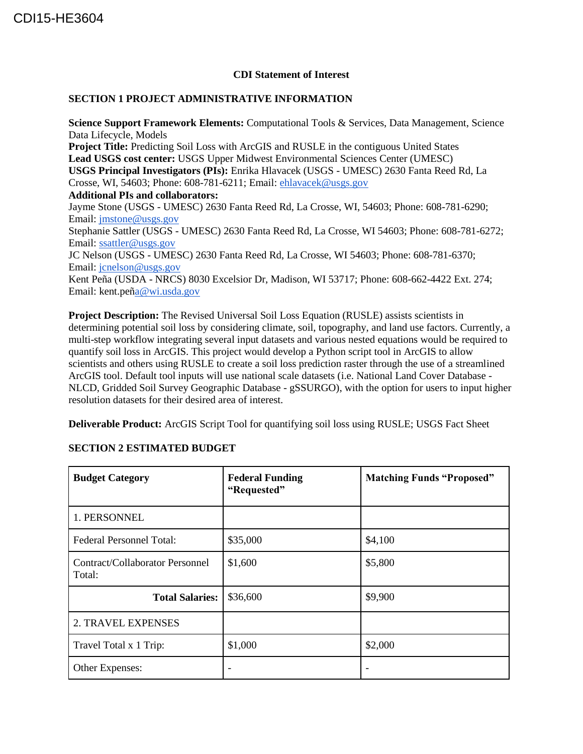## **CDI Statement of Interest**

## **SECTION 1 PROJECT ADMINISTRATIVE INFORMATION**

**Science Support Framework Elements:** Computational Tools & Services, Data Management, Science Data Lifecycle, Models **Project Title:** Predicting Soil Loss with ArcGIS and RUSLE in the contiguous United States **Lead USGS cost center:** USGS Upper Midwest Environmental Sciences Center (UMESC) **USGS Principal Investigators (PIs):** Enrika Hlavacek (USGS - UMESC) 2630 Fanta Reed Rd, La Crosse, WI, 54603; Phone: 608-781-6211; Email: [ehlavacek@usgs.gov](mailto:ehlavacek@usgs.gov) **Additional PIs and collaborators:**  Jayme Stone (USGS - UMESC) 2630 Fanta Reed Rd, La Crosse, WI, 54603; Phone: 608-781-6290; Email: [jmstone@usgs.gov](mailto:jmstone@usgs.gov) Stephanie Sattler (USGS - UMESC) 2630 Fanta Reed Rd, La Crosse, WI 54603; Phone: 608-781-6272; Email: [ssattler@usgs.gov](mailto:ssattler@usgs.gov) JC Nelson (USGS - UMESC) 2630 Fanta Reed Rd, La Crosse, WI 54603; Phone: 608-781-6370; Email: [jcnelson@usgs.gov](mailto:jcnelson@usgs.gov) Kent Peña (USDA - NRCS) 8030 Excelsior Dr, Madison, WI 53717; Phone: 608-662-4422 Ext. 274; Email: kent.pe[ña@wi.usda.gov](mailto:a@wi.usda.gov)

**Project Description:** The Revised Universal Soil Loss Equation (RUSLE) assists scientists in determining potential soil loss by considering climate, soil, topography, and land use factors. Currently, a multi-step workflow integrating several input datasets and various nested equations would be required to quantify soil loss in ArcGIS. This project would develop a Python script tool in ArcGIS to allow scientists and others using RUSLE to create a soil loss prediction raster through the use of a streamlined ArcGIS tool. Default tool inputs will use national scale datasets (i.e. National Land Cover Database - NLCD, Gridded Soil Survey Geographic Database - gSSURGO), with the option for users to input higher resolution datasets for their desired area of interest.

**Deliverable Product:** ArcGIS Script Tool for quantifying soil loss using RUSLE; USGS Fact Sheet

| <b>Budget Category</b>                    | <b>Federal Funding</b><br>"Requested" | <b>Matching Funds "Proposed"</b> |
|-------------------------------------------|---------------------------------------|----------------------------------|
| 1. PERSONNEL                              |                                       |                                  |
| Federal Personnel Total:                  | \$35,000                              | \$4,100                          |
| Contract/Collaborator Personnel<br>Total: | \$1,600                               | \$5,800                          |
| <b>Total Salaries:</b>                    | \$36,600                              | \$9,900                          |
| 2. TRAVEL EXPENSES                        |                                       |                                  |
| Travel Total x 1 Trip:                    | \$1,000                               | \$2,000                          |
| Other Expenses:                           |                                       |                                  |

## **SECTION 2 ESTIMATED BUDGET**